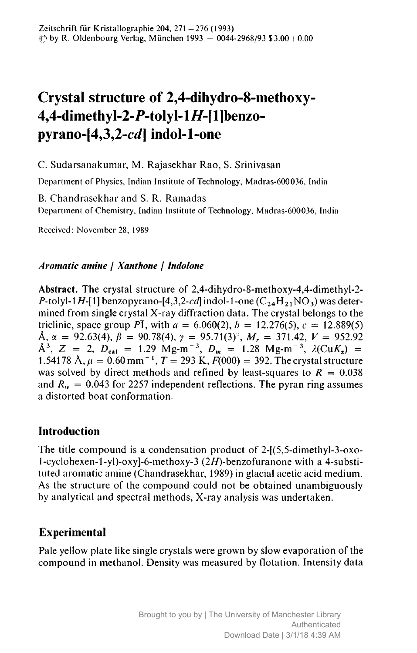# Crystal structure of 2,4-dihydro-8-methoxy- $4.4$ -dimethyl-2-P-tolyl-1H-[1]benzo $pyrano- $[4,3,2-cd]$ indol- $1$ -one$

C. Sudarsanakumar, M. Rajasekhar Rao, S. Srinivasan

Department of Physics, Indian Institute of Technology, Madras-600036, India

## . Chandrasekhar and S. R. Ramadas

Department of Chemistry, Indian Institute of Technology, Madras-600036, India

Received: November 28, 1989

## Aromatic amine / Xanthone / Indolone

Abstract. The crystal structure of 2,4-dihydro-8-methoxy-4,4-dimefhyl-2- P-tolyl-1 H-[1] benzopyrano-[4,3,2-cd] indol-1-one  $(C_{24}H_{21}NO_3)$  was determined from single crystal X-ray diffraction data. The crystal belongs to the triclinic, space group P $\bar{1}$ , with  $a = 6.060(2)$ ,  $b = 12.276(5)$ ,  $c = 12.889(5)$  $\hat{A}$ ,  $\alpha = 92.63(4)$ ,  $\beta = 90.78(4)$ ,  $\gamma = 95.71(3)$ <sup>°</sup>,  $M_r = 371.42$ ,  $V = 952.92$  $\AA^3$ , Z = 2,  $D_{\text{cal}} = 1.29 \text{ Mg-m}^{-3}$ ,  $D_m = 1.28 \text{ Mg-m}^{-3}$ ,  $\lambda (\text{Cu} K_i)$  = 1.54178  $\hat{A}$ ,  $\mu = 0.60$  mm<sup>-1</sup>,  $T = 293$  K,  $F(000) = 392$ . The crystal structure was solved by direct methods and refined by least-squares to  $R = 0.038$ and  $R_w = 0.043$  for 2257 independent reflections. The pyran ring assumes a distorted boat conformation.

# Introduction

The title compound is <sup>a</sup> condensation product of 2-[(5,5-dimethyl-3-oxo-1-cyclohexen-1-yl)-oxy]-6-methoxy-3  $(2H)$ -benzofuranone with a 4-substituted aromatic amine (Chandrasekhar, 1989) in glacial acetic acid medium. As the structure of the compound could not be obtained unambiguously by analytical and spectral methods, X-ray analysis was undertaken.

# Experimental

Pale yellow plate like single crystals were grown by slow evaporation of the compound in methanol. Density was measured by flotation. Intensity data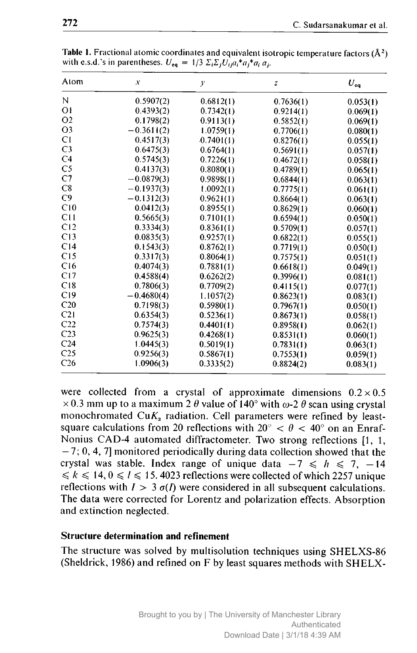| Atom            | $\chi$       | у         | $\boldsymbol{z}$ | $U_{eq}$ |
|-----------------|--------------|-----------|------------------|----------|
| N               | 0.5907(2)    | 0.6812(1) | 0.7636(1)        | 0.053(1) |
| Οl              | 0.4393(2)    | 0.7342(1) | 0.9214(1)        | 0.069(1) |
| O <sub>2</sub>  | 0.1798(2)    | 0.9113(1) | 0.5852(1)        | 0.069(1) |
| O <sub>3</sub>  | $-0.3611(2)$ | 1.0759(1) | 0.7706(1)        | 0.080(1) |
| C <sub>1</sub>  | 0.4517(3)    | 0.7401(1) | 0.8276(1)        | 0.055(1) |
| C <sub>3</sub>  | 0.6475(3)    | 0.6764(1) | 0.5691(1)        | 0.057(1) |
| C <sub>4</sub>  | 0.5745(3)    | 0.7226(1) | 0.4672(1)        | 0.058(1) |
| C <sub>5</sub>  | 0.4137(3)    | 0.8080(1) | 0.4789(1)        | 0.065(1) |
| C <sub>7</sub>  | $-0.0879(3)$ | 0.9898(1) | 0.6844(1)        | 0.063(1) |
| C8              | $-0.1937(3)$ | 1.0092(1) | 0.7775(1)        | 0.061(1) |
| C9              | $-0.1312(3)$ | 0.9621(1) | 0.8664(1)        | 0.063(1) |
| C10             | 0.0412(3)    | 0.8955(1) | 0.8629(1)        | 0.060(1) |
| C11             | 0.5665(3)    | 0.7101(1) | 0.6594(1)        | 0.050(1) |
| C12             | 0.3334(3)    | 0.8361(1) | 0.5709(1)        | 0.057(1) |
| C13             | 0.0835(3)    | 0.9257(1) | 0.6822(1)        | 0.055(1) |
| C14             | 0.1543(3)    | 0.8762(1) | 0.7719(1)        | 0.050(1) |
| C15             | 0.3317(3)    | 0.8064(1) | 0.7575(1)        | 0.051(1) |
| C16             | 0.4074(3)    | 0.7881(1) | 0.6618(1)        | 0.049(1) |
| C17             | 0.4588(4)    | 0.6262(2) | 0.3996(1)        | 0.081(1) |
| C18             | 0.7806(3)    | 0.7709(2) | 0.4115(1)        | 0.077(1) |
| C19             | $-0.4680(4)$ | 1.1057(2) | 0.8623(1)        | 0.083(1) |
| C <sub>20</sub> | 0.7198(3)    | 0.5980(1) | 0.7967(1)        | 0.050(1) |
| C <sub>21</sub> | 0.6354(3)    | 0.5236(1) | 0.8673(1)        | 0.058(1) |
| C <sub>22</sub> | 0.7574(3)    | 0.4401(1) | 0.8958(1)        | 0.062(1) |
| C <sub>23</sub> | 0.9625(3)    | 0.4268(1) | 0.8531(1)        | 0.060(1) |
| C <sub>24</sub> | 1.0445(3)    | 0.5019(1) | 0.7831(1)        | 0.063(1) |
| C <sub>25</sub> | 0.9256(3)    | 0.5867(1) | 0.7553(1)        | 0.059(1) |
| C <sub>26</sub> | 1.0906(3)    | 0.3335(2) | 0.8824(2)        | 0.083(1) |

Table 1. Fractional atomic coordinates and equivalent isotropic temperature factors  $(\AA^2)$ with e.s.d.'s in parentheses.  $U_{eq} = 1/3 \sum_i \sum_j U_{ij} a_i^* a_j^* a_i a_j$ .

were collected from a crystal of approximate dimensions  $0.2 \times 0.5$  $\times$ 0.3 mm up to a maximum 2  $\theta$  value of 140° with  $\omega$ -2  $\theta$  scan using crystal monochromated Cu $K<sub>x</sub>$  radiation. Cell parameters were refined by leastsquare calculations from 20 reflections with  $20^{\circ} < \theta < 40^{\circ}$  on an Enraf-Nonius CAD-4 automated diffractometer. Two strong reflections [1, 1, crystal was stable. Index range of unique data  $-7 \le h \le 7$ ,  $-14$  $-7$ ; 0, 4, 7] monitored periodically during data collection showed that the  $\le k \le 14, 0 \le l \le 15.4023$  reflections were collected of which 2257 unique reflections with  $I > 3 \sigma(I)$  were considered in all subsequent calculations. The data were corrected for Lorentz and polarization effects. Absorption and extinction neglected.

#### Structure determination and refinement

The structure was solved by multisolution techniques using SHELXS-86 (Sheldrick, 1986) and refined on F by least squares methods with SHELX-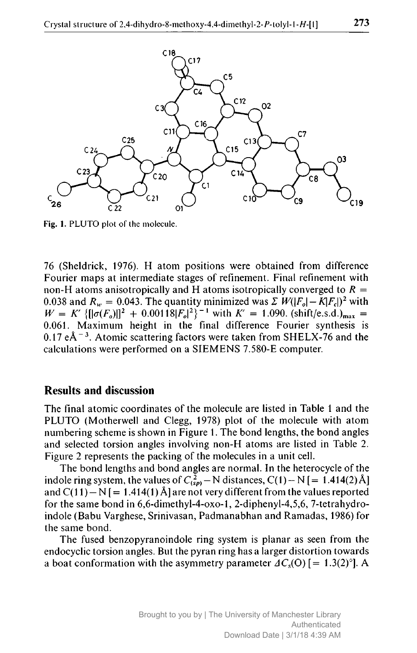

Fig. 1. PLUTO plot of the molecule.

<sup>76</sup> (Sheldrick, 1976). H atom positions were obtained from difference Fourier maps at intermediate stages of refinement. Final refinement with non-H atoms anisotropically and H atoms isotropically converged to  $R =$ 0.038 and  $R_w = 0.043$ . The quantity minimized was  $\sum W(|F_o|-K|F_c|)^2$  with  $W = K' \{ [|\sigma(F_0)||^2 + 0.00118|F_0|^2 \}^{-1}$  with  $K' = 1.090$ . (shift/e.s.d.)<sub>max</sub> = 0.061. Maximum height in the final difference Fourier synthesis is  $0.17$  eÅ<sup> $-3$ </sup>. Atomic scattering factors were taken from SHELX-76 and the calculations were performed on <sup>a</sup> SIEMENS 7.580-E computer.

### Results and discussion

The final atomic coordinates of the molecule are listed in Table <sup>1</sup> and the PLUTO (Motherwell and Clegg, 1978) plot of the molecule with atom numbering scheme is shown in Figure 1. The bond lengths, the bond angles and selected torsion angles involving non-H atoms are listed in Table 2. Figure <sup>2</sup> represents the packing of the molecules in <sup>a</sup> unit cell.

The bond lengths and bond angles are normal. In the heterocycle of the indole ring system, the values of  $C_{(sp)}^2$  – N distances, C(1) – N [= 1.414(2)Å] and  $C(11) - N$  [= 1.414(1) Å] are not very different from the values reported for the same bond in 6,6-dimethyl-4-oxo-l, 2-diphenyl-4,5,6, 7-tetrahydroindole (Babu Varghese, Srinivasan, Padmanabhan and Ramadas, 1986) for the same bond.

The fused benzopyranoindole ring system is planar as seen from the endocyclic torsion angles. But the pyran ring has <sup>a</sup> larger distortion towards a boat conformation with the asymmetry parameter  $AC_s(0)$  [= 1.3(2)°]. A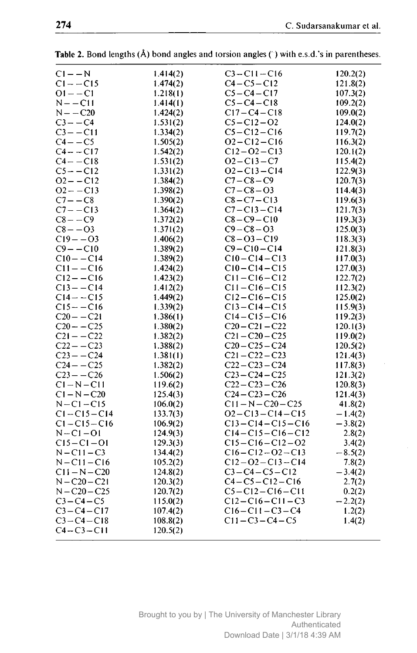| $C1 - -N$        | 1.414(2) | $C3 - C11 - C16$        | 120.2(2)  |
|------------------|----------|-------------------------|-----------|
| $C1 - -C15$      | 1.474(2) | $C4 - C5 - C12$         | 121.8(2)  |
| $Q1 - -C1$       | 1.218(1) | $C5 - C4 - C17$         | 107.3(2)  |
| $N - - C11$      | 1.414(1) | $C5 - C4 - C18$         | 109.2(2)  |
| $N - -C20$       | 1.424(2) | $C17 - C4 - C18$        | 109.0(2)  |
| $C3 - C4$        | 1.531(2) | $C5 - C12 - O2$         | 124.0(2)  |
| $C3 - -C11$      | 1.334(2) | $C5 - C12 - C16$        | 119.7(2)  |
| $C4 - C5$        | 1.505(2) | $Q2 - C12 - C16$        | 116.3(2)  |
| $C4 - C17$       | 1.542(2) | $C12 - O2 - C13$        | 120.1(2)  |
| $C4 - C18$       | 1.531(2) | $O2 - C13 - C7$         | 115.4(2)  |
| $C5 - C12$       | 1.331(2) | $Q2 - C13 - C14$        | 122.9(3)  |
| $Q2 - C12$       | 1.384(2) | $C7 - C8 - C9$          | 120.7(3)  |
| $Q2 - C13$       | 1.398(2) | $C7 - C8 - O3$          | 114.4(3)  |
| $C7 - C8$        | 1.390(2) | $C8 - C7 - C13$         | 119.6(3)  |
| $C7 - C13$       | 1.364(2) | $C7 - C13 - C14$        | 121.7(3)  |
| $C8 - C9$        | 1.372(2) | $C8 - C9 - C10$         | 119.3(3)  |
| $C8 - -03$       | 1.371(2) | $C9 - C8 - O3$          | 125.0(3)  |
| $C19 - -03$      | 1.406(2) | $C8 - O3 - C19$         | 118.3(3)  |
| $C9 - C10$       | 1.389(2) | $C9 - C10 - C14$        | 121.8(3)  |
| $C10 - C14$      | 1.389(2) | $C10 - C14 - C13$       | 117.0(3)  |
| $C11 - C16$      | 1.424(2) | $C10 - C14 - C15$       | 127.0(3)  |
| $C12 - C16$      | 1.423(2) | $C11 - C16 - C12$       | 122.7(2)  |
| $C13 - C14$      | 1.412(2) | $C11 - C16 - C15$       | 112.3(2)  |
| $C14 - C15$      | 1.449(2) | $C12 - C16 - C15$       | 125.0(2)  |
| $C15 - C16$      | 1.339(2) | C13-C14-C15             | 115.9(3)  |
| $C20 - C21$      | 1.386(1) | $C14 - C15 - C16$       | 119.2(3)  |
| $C20 - C25$      | 1.380(2) | $C20 - C21 - C22$       | 120.1(3)  |
| $C21 - C22$      | 1.382(2) | $C21 - C20 - C25$       | 119.0(2)  |
| $C22 - C23$      | 1.388(2) | $C20 - C25 - C24$       | 120.5(2)  |
| $C23 - C24$      | 1.381(1) | $C21 - C22 - C23$       | 121.4(3)  |
| $C24 - C25$      | 1.382(2) | $C22 - C23 - C24$       | 117.8(3)  |
| $C23 - C26$      | 1.506(2) | $C23 - C24 - C25$       | 121.3(2)  |
| $CI-N-CI1$       | 119.6(2) | $C22 - C23 - C26$       | 120.8(3)  |
| $C1 - N - C20$   | 125.4(3) | $C_{24}-C_{23}-C_{26}$  | 121.4(3)  |
| $N - C1 - C15$   | 106.0(2) | $C11 - N - C20 - C25$   | 41.8(2)   |
| $C1 - C15 - C14$ | 133.7(3) | $O2 - C13 - C14 - C15$  | $-1.4(2)$ |
| $C1 - C15 - C16$ | 106.9(2) | $C13 - C14 - C15 - C16$ | $-3.8(2)$ |
| $N - C1 - O1$    | 124.9(3) | $C14 - C15 - C16 - C12$ | 2.8(2)    |
| $C15 - C1 - O1$  | 129.3(3) | $C15 - C16 - C12 - O2$  | 3.4(2)    |
| $N - C11 - C3$   | 134.4(2) | $C16 - C12 - O2 - C13$  | $-8.5(2)$ |
| $N - C11 - C16$  | 105.2(2) | $C12 - O2 - C13 - C14$  | 7.8(2)    |
| $C11 - N - C20$  | 124.8(2) | $C3 - C4 - C5 - C12$    | $-3.4(2)$ |
| $N - C20 - C21$  | 120.3(2) | $C4 - C5 - C12 - C16$   | 2.7(2)    |
| $N - C20 - C25$  | 120.7(2) | $C5 - C12 - C16 - C11$  | 0.2(2)    |
| $C3 - C4 - C5$   | 115.0(2) | $C12 - C16 - C11 - C3$  | $-2.2(2)$ |
| $C3 - C4 - C17$  | 107.4(2) | $C16 - C11 - C3 - C4$   | 1.2(2)    |
| $C3 - C4 - C18$  | 108.8(2) | $C11 - C3 - C4 - C5$    | 1.4(2)    |
| $C4 - C3 - C11$  | 120.5(2) |                         |           |
|                  |          |                         |           |

Table 2. Bond lengths (Å) bond angles and torsion angles ( $\dot{\ }$ ) with e.s.d.'s in parentheses.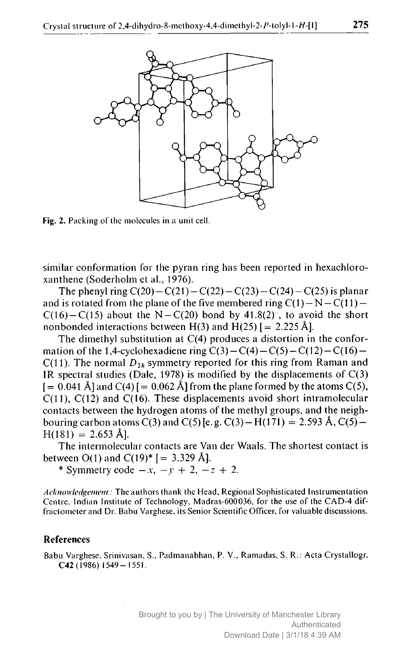

Fig. 2. Packing of the molecules in <sup>a</sup> unit cell.

similar conformation for the pyran ring has been reported in hexachloroxanthene (Soderholm et al., 1976).

The phenyl ring  $C(20) - C(21) - C(22) - C(23) - C(24) - C(25)$  is planar<br>is rotated from the plane of the five membered ring  $C(1) - N - C(11)$ and is rotated from the plane of the five membered ring  $C(1) - N - C(11) C(16)-C(15)$  about the N-C(20) bond by 41.8(2)<sup>°</sup>, to avoid the short nonbonded interactions between H(3) and H(25)  $[= 2.225 \text{ Å}]$ .

The dimethyl substitution at C(4) produces <sup>a</sup> distortion in the conformation of the 1,4-cyclohexadiene ring  $C(3) - C(4) - C(5) - C(12) - C(16)$ <br> $C(11)$ . The normal D, symmetry reported for this ring from Baman at C(11). The normal  $D_{2h}$  symmetry reported for this ring from Raman and IR spectral studies (Dale, 1978) is modified by the displacements of  $C(3)$  $[= 0.041 \text{ Å}]$  and C(4)  $[= 0.062 \text{ Å}]$  from the plane formed by the atoms C(5),  $C(11)$ ,  $C(12)$  and  $C(16)$ . These displacements avoid short intramolecular contacts between the hydrogen atoms of the methyl groups, and the neighbouring carbon atoms C(3) and C(5) [e.g. C(3) – H(171) = 2.593 Å, C(5) –<br>H(171) = 2.593 Å, C(5) –  $H(181) = 2.653$  Ål.

The intermolecular contacts are Van der Waals. The shortest contact is between  $O(1)$  and  $C(19)^*$  [ = 3.329 Å].

\* Symmetry code  $-x$ ,  $-y$  + 2,  $-z$  + 2.

Acknowledgement: The authors thank the Head, Regional Sophisticated Instrumentation Centre, Indian Institute of Technology, Madras-600036, for the use of the CAD-4 diffractometer and Dr. Babu Varghese, its Senior Scientific Officer, for valuable discussions.

#### References

Babu Varghese, Srinivasan, S., Padmanabhan, P. V., Ramadas, S. R.: Acta Crystallogr.  $C42$  (1986) 1549 - 1551.